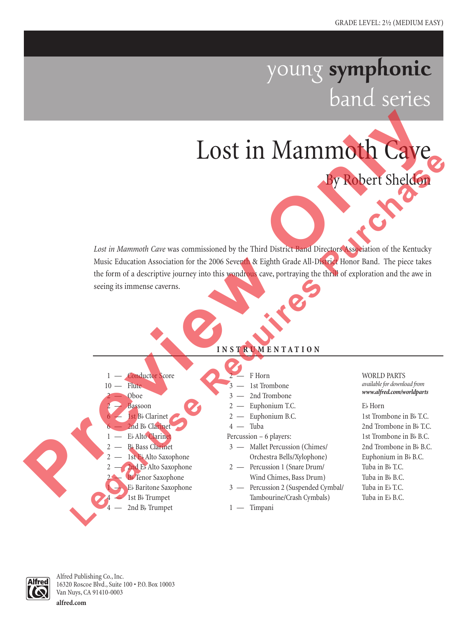## young **symphonic**  band series

## Lost in Mammoth Cave By Robert Sheldon

*Lost in Mammoth Cave* was commissioned by the Third District Band Directors Association of the Kentucky Music Education Association for the 2006 Seventh & Eighth Grade All-District Honor Band. The piece takes the form of a descriptive journey into this wondrous cave, portraying the thrill of exploration and the awe in seeing its immense caverns. **Lost in Mammuel Car vas commissionel by the Final District and Distribution of the Kentucky<br>
Less in Mammuel Car vas commissionel by the Final District and Distribution of the Kentucky<br>
the final of a description typical** Legal in Mannool Core was commissioned by the Third District Hamilton of the Kentucky<br>
Music Education Association for the 2006 Several of The Fibrid Distribution of the Kentucky<br>
Music Education Association for the 2006 S

- 1 Conductor Score 10 — Flute
	- Oboe
	- **Bassoon** 1st B<sub>b</sub> Clarinet
	- 2nd B<sub>b</sub> Clarinet
	- 1 El Alto Clarinet
	- 2 B<sub>b</sub> Bass Clarinet
		- 1st El Alto Saxophone
		- 2nd E<sub>b</sub> Alto Saxophone
		- **B** Tenor Saxophone
		- E<sub>b</sub> Baritone Saxophone
		- 1st B<sub>b</sub> Trumpet 2nd B<sub>b</sub> Trumpet
- **i n s t r u m e n t a t i o n**
	- F Horn
	- 3 1st Trombone
	- 3 2nd Trombone
	- 2 Euphonium T.C.
	- 2 Euphonium B.C.
	- 4 Tuba

Percussion – 6 players:

- 3 Mallet Percussion (Chimes/ Orchestra Bells/Xylophone)
- 2 Percussion 1 (Snare Drum/ Wind Chimes, Bass Drum)
- 3 Percussion 2 (Suspended Cymbal/
	- Tambourine/Crash Cymbals)
- 1 Timpani

WORLD PARTS *available for download from www.alfred.com/worldparts*

## E<sub>b</sub> Horn

1st Trombone in  $B \rightarrow T.C$ . 2nd Trombone in B<sub>b</sub> T.C. 1st Trombone in B<sub>b</sub> B.C. 2nd Trombone in B<sub>b</sub> B.C. Euphonium in B<sub>b</sub> B.C. Tuba in B<sub>b</sub> T.C. Tuba in B<sub>b</sub> B.C. Tuba in El T.C. Tuba in E B.C.

**Alfred** Ø

Alfred Publishing Co., Inc. 16320 Roscoe Blvd., Suite 100 • P.O. Box 10003 Van Nuys, CA 91410-0003 **alfred.com**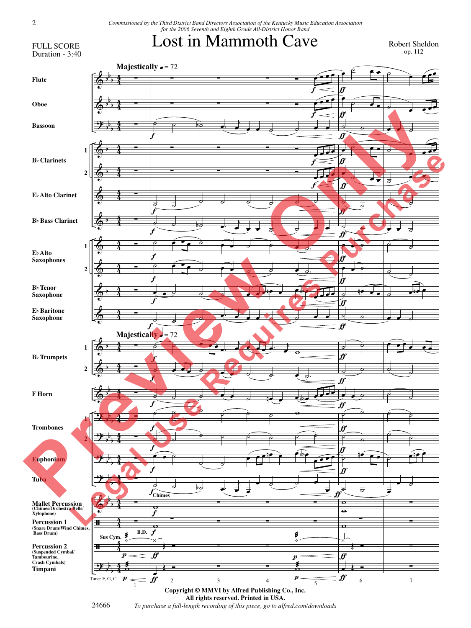## FULL SCORE **Lost in Mammoth Cave**

Robert Sheldon op. 112

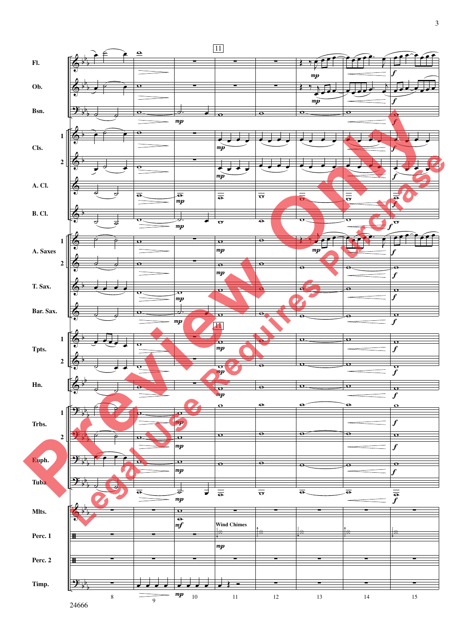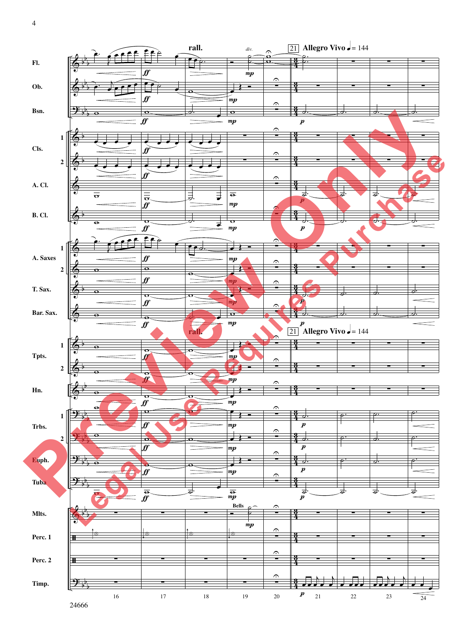

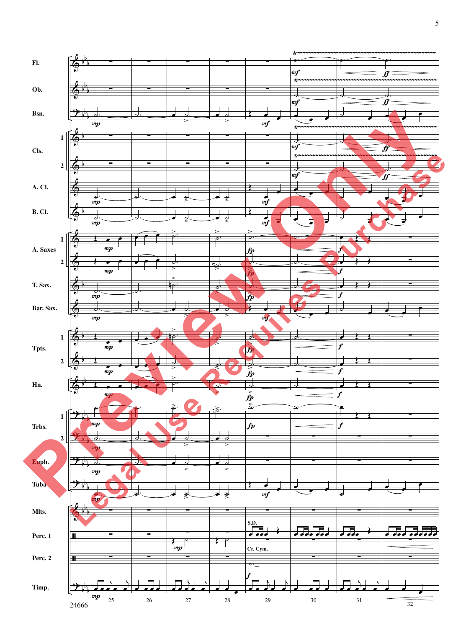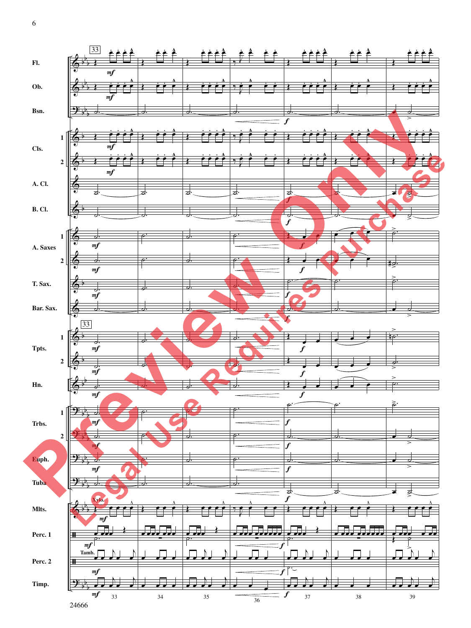

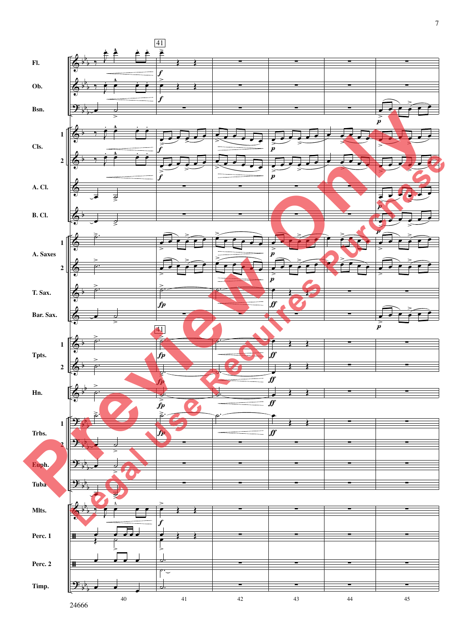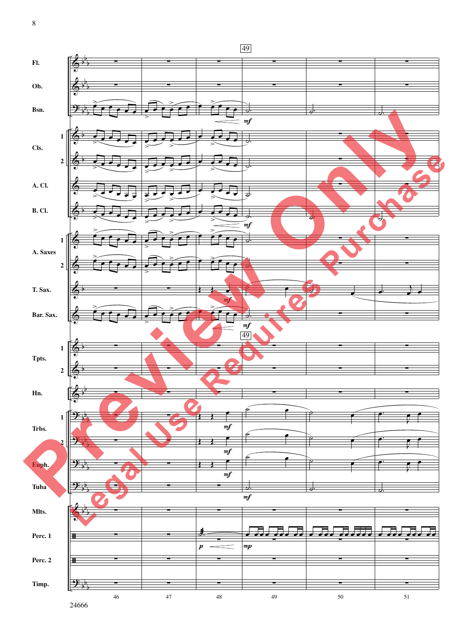

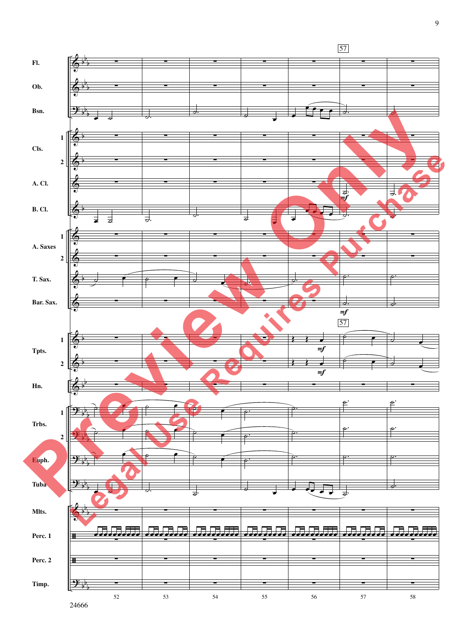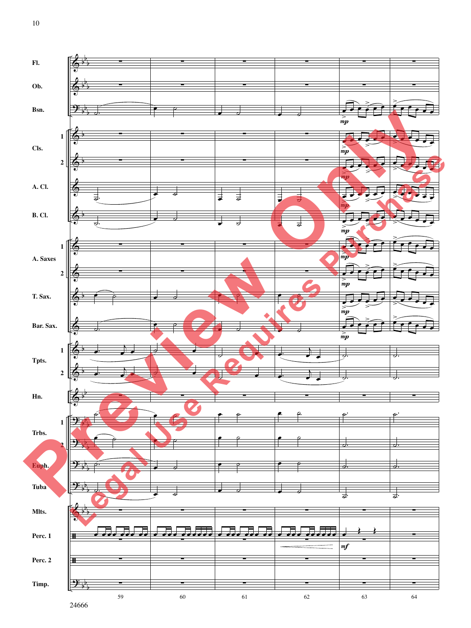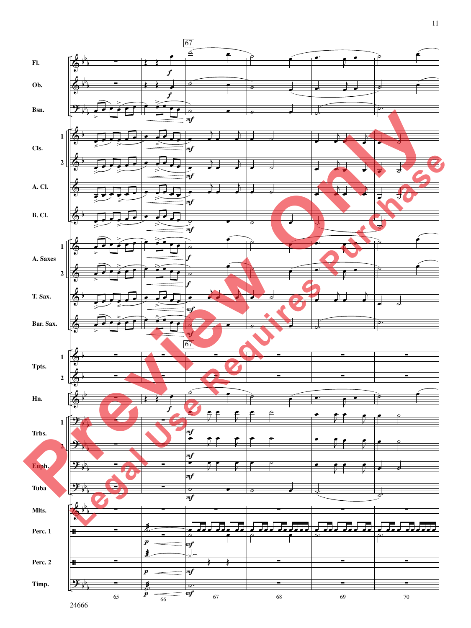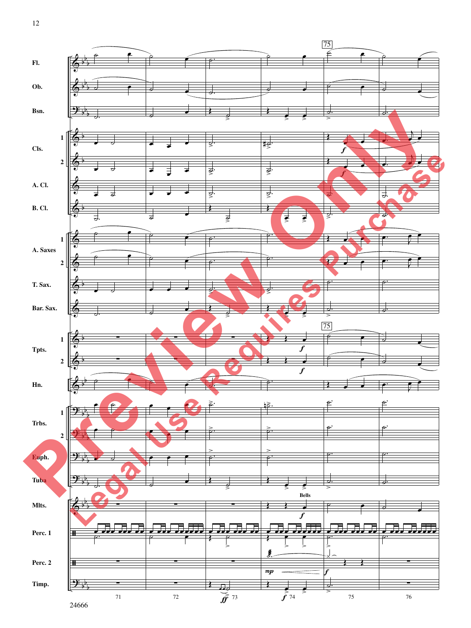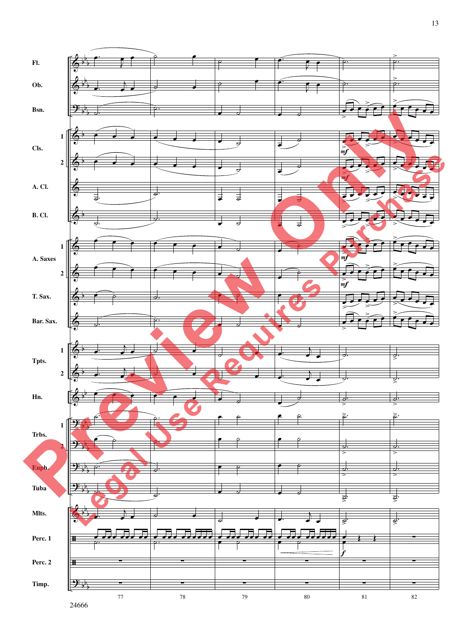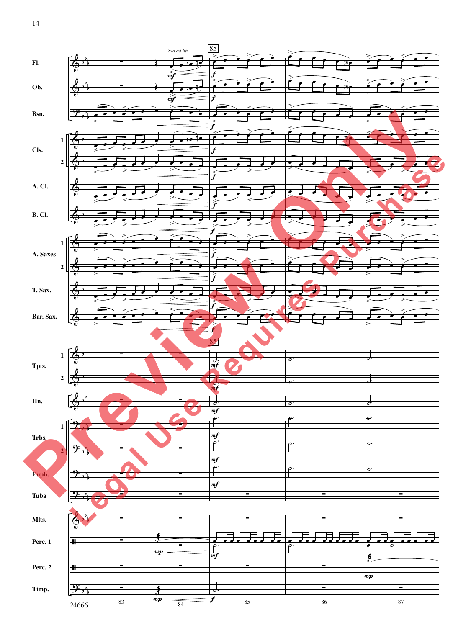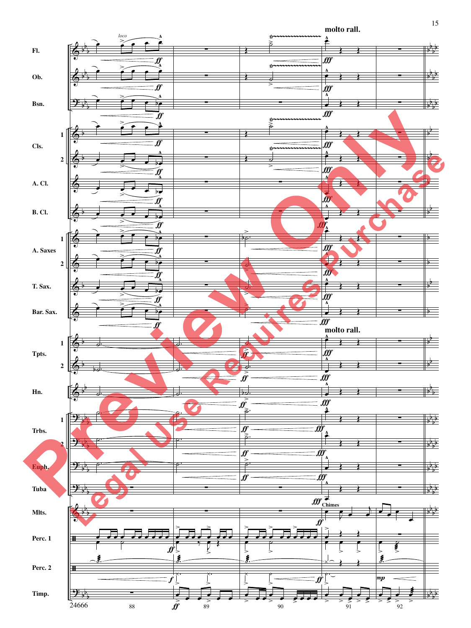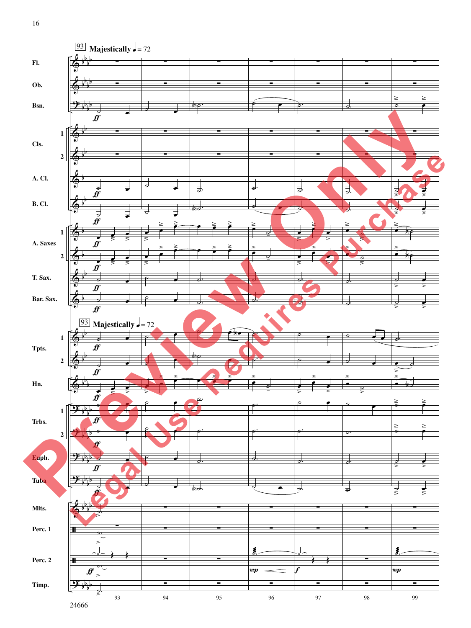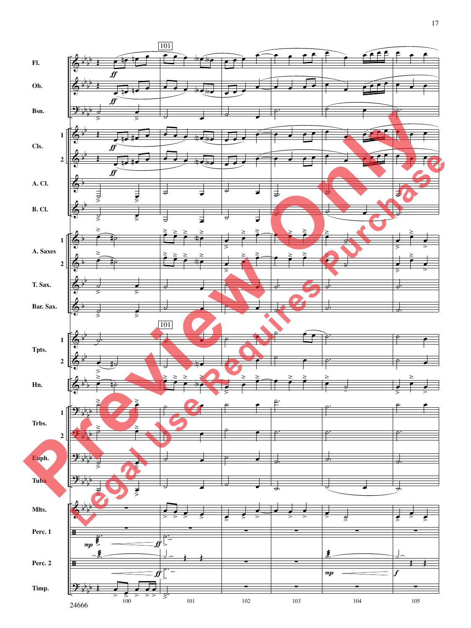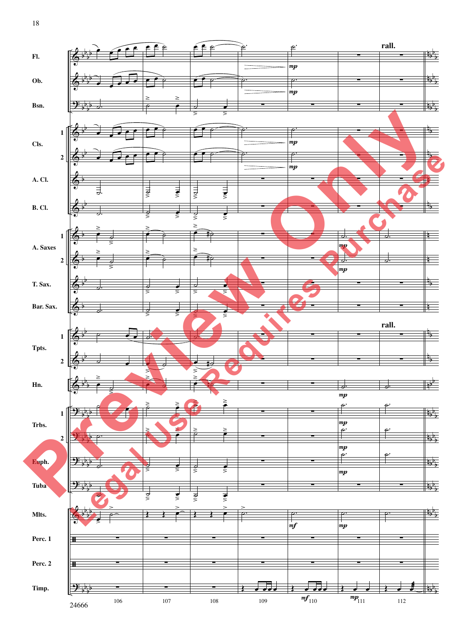

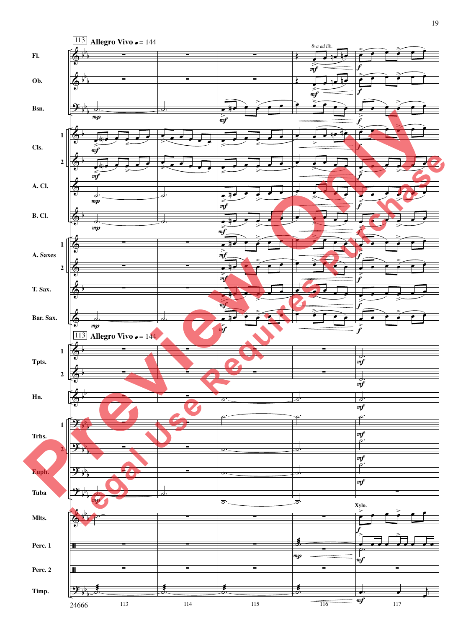